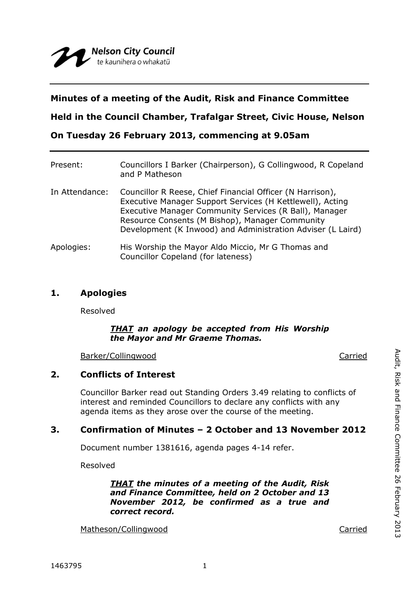## **Minutes of a meeting of the Audit, Risk and Finance Committee**

**Held in the Council Chamber, Trafalgar Street, Civic House, Nelson**

**On Tuesday 26 February 2013, commencing at 9.05am**

| Present:       | Councillors I Barker (Chairperson), G Collingwood, R Copeland<br>and P Matheson                                                                                                                                                                                                                    |
|----------------|----------------------------------------------------------------------------------------------------------------------------------------------------------------------------------------------------------------------------------------------------------------------------------------------------|
| In Attendance: | Councillor R Reese, Chief Financial Officer (N Harrison),<br>Executive Manager Support Services (H Kettlewell), Acting<br>Executive Manager Community Services (R Ball), Manager<br>Resource Consents (M Bishop), Manager Community<br>Development (K Inwood) and Administration Adviser (L Laird) |
| Apologies:     | His Worship the Mayor Aldo Miccio, Mr G Thomas and<br>Councillor Copeland (for lateness)                                                                                                                                                                                                           |

### **1. Apologies**

Resolved

#### *THAT an apology be accepted from His Worship the Mayor and Mr Graeme Thomas.*

Barker/Collingwood Carried

## **2. Conflicts of Interest**

Councillor Barker read out Standing Orders 3.49 relating to conflicts of interest and reminded Councillors to declare any conflicts with any agenda items as they arose over the course of the meeting.

# **3. Confirmation of Minutes – 2 October and 13 November 2012**

Document number 1381616, agenda pages 4-14 refer.

Resolved

*THAT the minutes of a meeting of the Audit, Risk and Finance Committee, held on 2 October and 13 November 2012, be confirmed as a true and correct record.*

Matheson/Collingwood Carried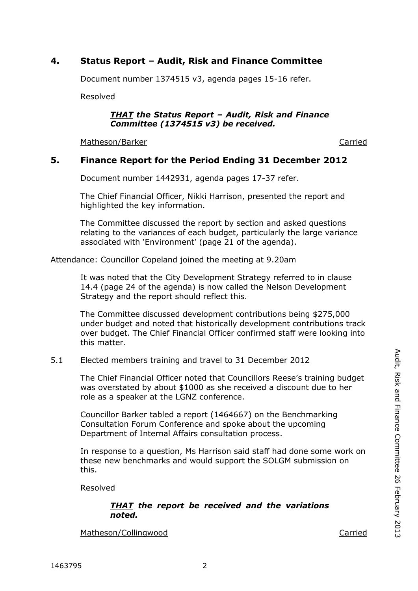# **4. Status Report – Audit, Risk and Finance Committee**

Document number 1374515 v3, agenda pages 15-16 refer.

Resolved

#### *THAT the Status Report – Audit, Risk and Finance Committee (1374515 v3) be received.*

Matheson/Barker Carried Carried Carried Carried Carried Carried Carried Carried Carried Carried Carried Carried

### **5. Finance Report for the Period Ending 31 December 2012**

Document number 1442931, agenda pages 17-37 refer.

The Chief Financial Officer, Nikki Harrison, presented the report and highlighted the key information.

The Committee discussed the report by section and asked questions relating to the variances of each budget, particularly the large variance associated with 'Environment' (page 21 of the agenda).

Attendance: Councillor Copeland joined the meeting at 9.20am

It was noted that the City Development Strategy referred to in clause 14.4 (page 24 of the agenda) is now called the Nelson Development Strategy and the report should reflect this.

The Committee discussed development contributions being \$275,000 under budget and noted that historically development contributions track over budget. The Chief Financial Officer confirmed staff were looking into this matter.

### 5.1 Elected members training and travel to 31 December 2012

The Chief Financial Officer noted that Councillors Reese's training budget was overstated by about \$1000 as she received a discount due to her role as a speaker at the LGNZ conference.

Councillor Barker tabled a report (1464667) on the Benchmarking Consultation Forum Conference and spoke about the upcoming Department of Internal Affairs consultation process.

In response to a question, Ms Harrison said staff had done some work on these new benchmarks and would support the SOLGM submission on this.

Resolved

#### *THAT the report be received and the variations noted.*

Matheson/Collingwood Carried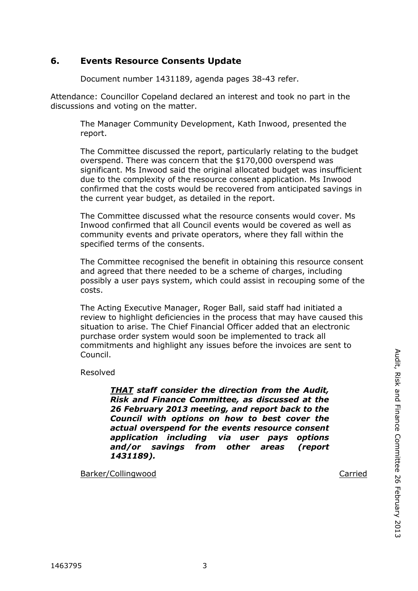# **6. Events Resource Consents Update**

Document number 1431189, agenda pages 38-43 refer.

Attendance: Councillor Copeland declared an interest and took no part in the discussions and voting on the matter.

The Manager Community Development, Kath Inwood, presented the report.

The Committee discussed the report, particularly relating to the budget overspend. There was concern that the \$170,000 overspend was significant. Ms Inwood said the original allocated budget was insufficient due to the complexity of the resource consent application. Ms Inwood confirmed that the costs would be recovered from anticipated savings in the current year budget, as detailed in the report.

The Committee discussed what the resource consents would cover. Ms Inwood confirmed that all Council events would be covered as well as community events and private operators, where they fall within the specified terms of the consents.

The Committee recognised the benefit in obtaining this resource consent and agreed that there needed to be a scheme of charges, including possibly a user pays system, which could assist in recouping some of the costs.

The Acting Executive Manager, Roger Ball, said staff had initiated a review to highlight deficiencies in the process that may have caused this situation to arise. The Chief Financial Officer added that an electronic purchase order system would soon be implemented to track all commitments and highlight any issues before the invoices are sent to Council.

Resolved

*THAT staff consider the direction from the Audit, Risk and Finance Committee, as discussed at the 26 February 2013 meeting, and report back to the Council with options on how to best cover the actual overspend for the events resource consent application including via user pays options and/or savings from other areas (report 1431189).*

Barker/Collingwood Carried